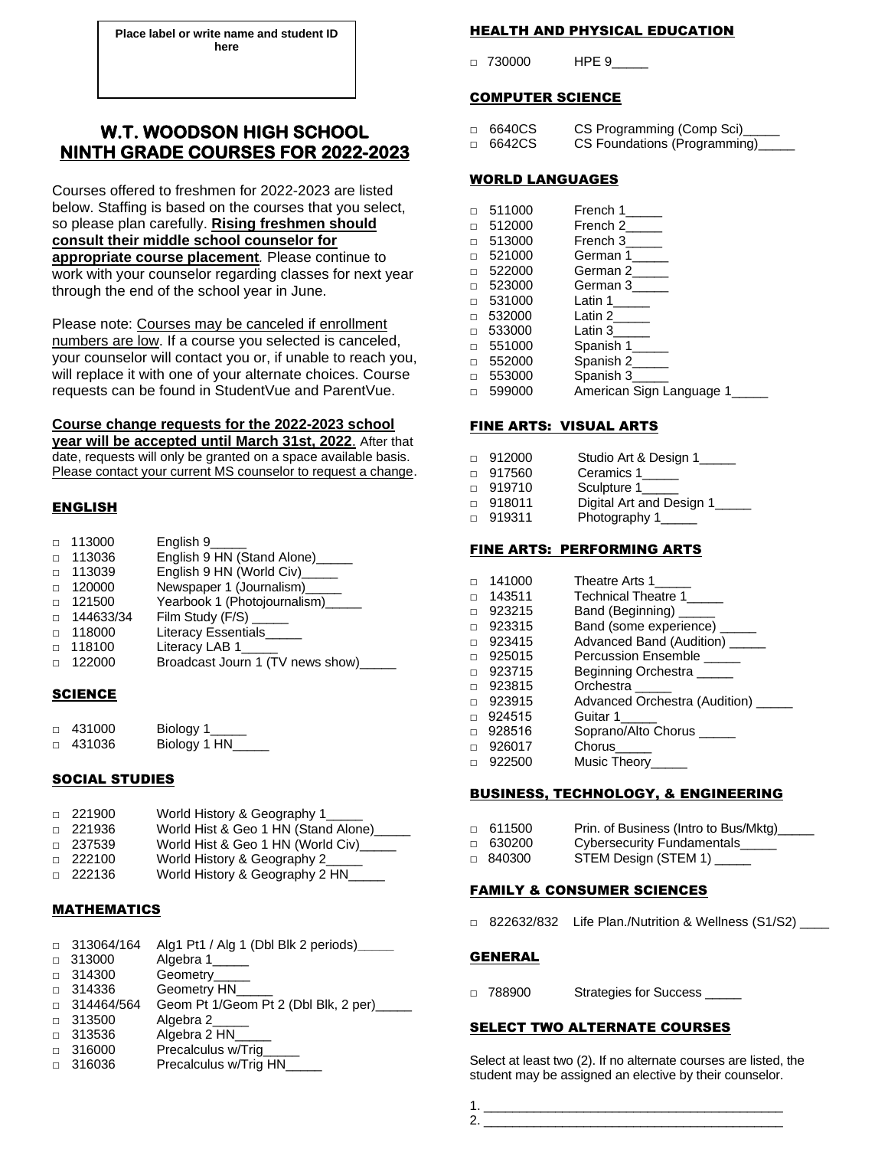**Place label or write name and student ID here**

# **W.T. WOODSON HIGH SCHOOL NINTH GRADE COURSES FOR 2022-2023**

Courses offered to freshmen for 2022-2023 are listed below. Staffing is based on the courses that you select, so please plan carefully. **Rising freshmen should consult their middle school counselor for appropriate course placement***.* Please continue to work with your counselor regarding classes for next year through the end of the school year in June.

Please note: Courses may be canceled if enrollment numbers are low. If a course you selected is canceled, your counselor will contact you or, if unable to reach you, will replace it with one of your alternate choices. Course requests can be found in StudentVue and ParentVue.

# **Course change requests for the 2022-2023 school**

**year will be accepted until March 31st, 2022**. After that date, requests will only be granted on a space available basis. Please contact your current MS counselor to request a change.

## ENGLISH

| $\Box$ | 113000           | English 9_____                   |
|--------|------------------|----------------------------------|
| $\Box$ | 113036           | English 9 HN (Stand Alone)_____  |
| $\Box$ | 113039           | English 9 HN (World Civ)_____    |
| $\Box$ | 120000           | Newspaper 1 (Journalism)_____    |
| $\Box$ | 121500           | Yearbook 1 (Photojournalism)     |
|        | $\Box$ 144633/34 |                                  |
| $\Box$ | 118000           | Literacy Essentials_             |
|        | $\Box$ 118100    | Literacy LAB 1_____              |
|        | $\Box$ 122000    | Broadcast Journ 1 (TV news show) |

## **SCIENCE**

| $\Box$ 431000 | Biology 1    |
|---------------|--------------|
| □ 431036      | Biology 1 HN |

#### SOCIAL STUDIES

| $\Box$ 221900 | World History & Geography 1____        |
|---------------|----------------------------------------|
| □ 221936      | World Hist & Geo 1 HN (Stand Alone)___ |
| $\Box$ 237539 | World Hist & Geo 1 HN (World Civ)_____ |
| $\Box$ 222100 | World History & Geography 2_____       |
| $\Box$ 222136 | World History & Geography 2 HN         |

## **MATHEMATICS**

| $\Box$ | 313064/164 | Alg1 Pt1 / Alg 1 (Dbl Blk 2 periods)___ |
|--------|------------|-----------------------------------------|
| $\Box$ | 313000     | Algebra 1_____                          |
| $\Box$ | 314300     | Geometry_____                           |
| $\Box$ | 314336     | Geometry HN___                          |
| $\Box$ | 314464/564 | Geom Pt 1/Geom Pt 2 (Dbl Blk, 2 per)    |
| $\Box$ | 313500     | Algebra 2                               |
| $\Box$ | 313536     | Algebra 2 HN__                          |
| $\Box$ | 316000     | Precalculus w/Trig                      |
| $\Box$ | 316036     | Precalculus w/Trig HN_                  |
|        |            |                                         |

## HEALTH AND PHYSICAL EDUCATION

□ 730000 HPE 9

## COMPUTER SCIENCE

□ 6640CS CS Programming (Comp Sci)<br>□ 6642CS CS Foundations (Programming □ 6642CS CS Foundations (Programming)\_\_\_\_\_

## WORLD LANGUAGES

|        | 511000 | French 1                 |
|--------|--------|--------------------------|
| П      | 512000 | French 2                 |
| $\Box$ | 513000 | French 3                 |
| П      | 521000 | German 1                 |
| П      | 522000 | German 2                 |
| П      | 523000 | German 3                 |
| П      | 531000 | Latin 1                  |
| П      | 532000 | Latin 2                  |
| П      | 533000 | Latin 3                  |
| П      | 551000 | Spanish 1                |
| $\Box$ | 552000 | Spanish 2_____           |
| П      | 553000 | Spanish 3_____           |
| п      | 599000 | American Sign Language 1 |

## FINE ARTS: VISUAL ARTS

| □ 912000      | Studio Art & Design 1    |
|---------------|--------------------------|
|               |                          |
| □ 917560      | Ceramics 1____           |
| $\Box$ 919710 | Sculpture 1              |
| ⊓ 918011      | Digital Art and Design 1 |
| □ 919311      | Photography 1_____       |

#### FINE ARTS: PERFORMING ARTS

| 141000 | Theatre Arts 1                      |
|--------|-------------------------------------|
| 143511 | Technical Theatre 1                 |
| 923215 | Band (Beginning) ______             |
| 923315 | Band (some experience) _____        |
| 923415 | Advanced Band (Audition) _____      |
| 925015 | Percussion Ensemble                 |
| 923715 | Beginning Orchestra                 |
| 923815 | Orchestra                           |
| 923915 | Advanced Orchestra (Audition) _____ |
| 924515 | Guitar 1                            |
| 928516 | Soprano/Alto Chorus _____           |
| 926017 | Chorus                              |
| 922500 | Music Theory                        |
|        |                                     |

## BUSINESS, TECHNOLOGY, & ENGINEERING

| ⊓ 611500      | Prin. of Business (Intro to Bus/Mktg) |  |
|---------------|---------------------------------------|--|
| □ 630200      | Cybersecurity Fundamentals            |  |
| $\sim$ 010200 | STEM Docian (STEM 1)                  |  |

# □ 840300 STEM Design (STEM 1) \_\_

#### FAMILY & CONSUMER SCIENCES

□ 822632/832 Life Plan./Nutrition & Wellness (S1/S2)

#### GENERAL

□ 788900 Strategies for Success

# SELECT TWO ALTERNATE COURSES

Select at least two (2). If no alternate courses are listed, the student may be assigned an elective by their counselor.

1. \_\_\_\_\_\_\_\_\_\_\_\_\_\_\_\_\_\_\_\_\_\_\_\_\_\_\_\_\_\_\_\_\_\_\_\_\_\_\_\_\_\_ 2. \_\_\_\_\_\_\_\_\_\_\_\_\_\_\_\_\_\_\_\_\_\_\_\_\_\_\_\_\_\_\_\_\_\_\_\_\_\_\_\_\_\_